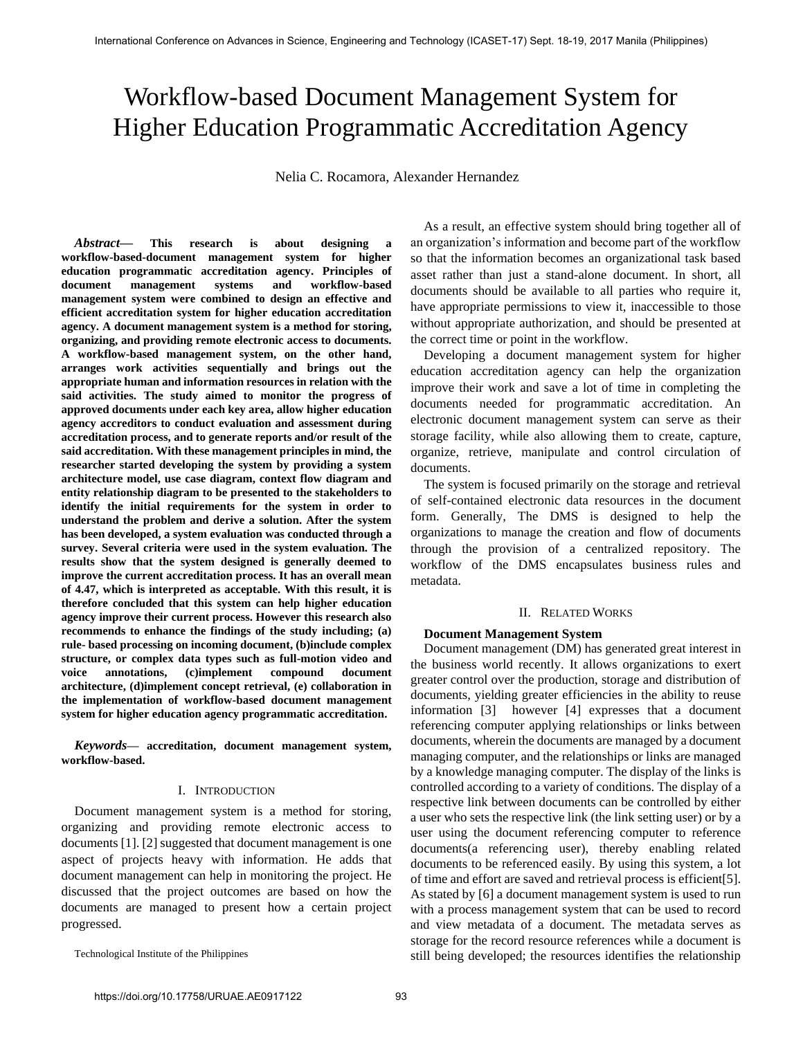# Workflow-based Document Management System for Higher Education Programmatic Accreditation Agency

Nelia C. Rocamora, Alexander Hernandez

*Abstract***— This research is about designing a workflow-based-document management system for higher education programmatic accreditation agency. Principles of document management systems and workflow-based management system were combined to design an effective and efficient accreditation system for higher education accreditation agency. A document management system is a method for storing, organizing, and providing remote electronic access to documents. A workflow-based management system, on the other hand, arranges work activities sequentially and brings out the appropriate human and information resources in relation with the said activities. The study aimed to monitor the progress of approved documents under each key area, allow higher education agency accreditors to conduct evaluation and assessment during accreditation process, and to generate reports and/or result of the said accreditation. With these management principles in mind, the researcher started developing the system by providing a system architecture model, use case diagram, context flow diagram and entity relationship diagram to be presented to the stakeholders to identify the initial requirements for the system in order to understand the problem and derive a solution. After the system has been developed, a system evaluation was conducted through a survey. Several criteria were used in the system evaluation. The results show that the system designed is generally deemed to improve the current accreditation process. It has an overall mean of 4.47, which is interpreted as acceptable. With this result, it is therefore concluded that this system can help higher education agency improve their current process. However this research also recommends to enhance the findings of the study including; (a) rule- based processing on incoming document, (b)include complex structure, or complex data types such as full-motion video and voice annotations, (c)implement compound document architecture, (d)implement concept retrieval, (e) collaboration in the implementation of workflow-based document management system for higher education agency programmatic accreditation.**

*Keywords***— accreditation, document management system, workflow-based.**

#### I. INTRODUCTION

Document management system is a method for storing, organizing and providing remote electronic access to documents [1]. [2] suggested that document management is one aspect of projects heavy with information. He adds that document management can help in monitoring the project. He discussed that the project outcomes are based on how the documents are managed to present how a certain project progressed.

Technological Institute of the Philippines

As a result, an effective system should bring together all of an organization's information and become part of the workflow so that the information becomes an organizational task based asset rather than just a stand-alone document. In short, all documents should be available to all parties who require it, have appropriate permissions to view it, inaccessible to those without appropriate authorization, and should be presented at the correct time or point in the workflow.

Developing a document management system for higher education accreditation agency can help the organization improve their work and save a lot of time in completing the documents needed for programmatic accreditation. An electronic document management system can serve as their storage facility, while also allowing them to create, capture, organize, retrieve, manipulate and control circulation of documents.

The system is focused primarily on the storage and retrieval of self-contained electronic data resources in the document form. Generally, The DMS is designed to help the organizations to manage the creation and flow of documents through the provision of a centralized repository. The workflow of the DMS encapsulates business rules and metadata.

#### II. RELATED WORKS

## **Document Management System**

Document management (DM) has generated great interest in the business world recently. It allows organizations to exert greater control over the production, storage and distribution of documents, yielding greater efficiencies in the ability to reuse information [3] however [4] expresses that a document referencing computer applying relationships or links between documents, wherein the documents are managed by a document managing computer, and the relationships or links are managed by a knowledge managing computer. The display of the links is controlled according to a variety of conditions. The display of a respective link between documents can be controlled by either a user who sets the respective link (the link setting user) or by a user using the document referencing computer to reference documents(a referencing user), thereby enabling related documents to be referenced easily. By using this system, a lot of time and effort are saved and retrieval process is efficient[5]. As stated by [6] a document management system is used to run with a process management system that can be used to record and view metadata of a document. The metadata serves as storage for the record resource references while a document is still being developed; the resources identifies the relationship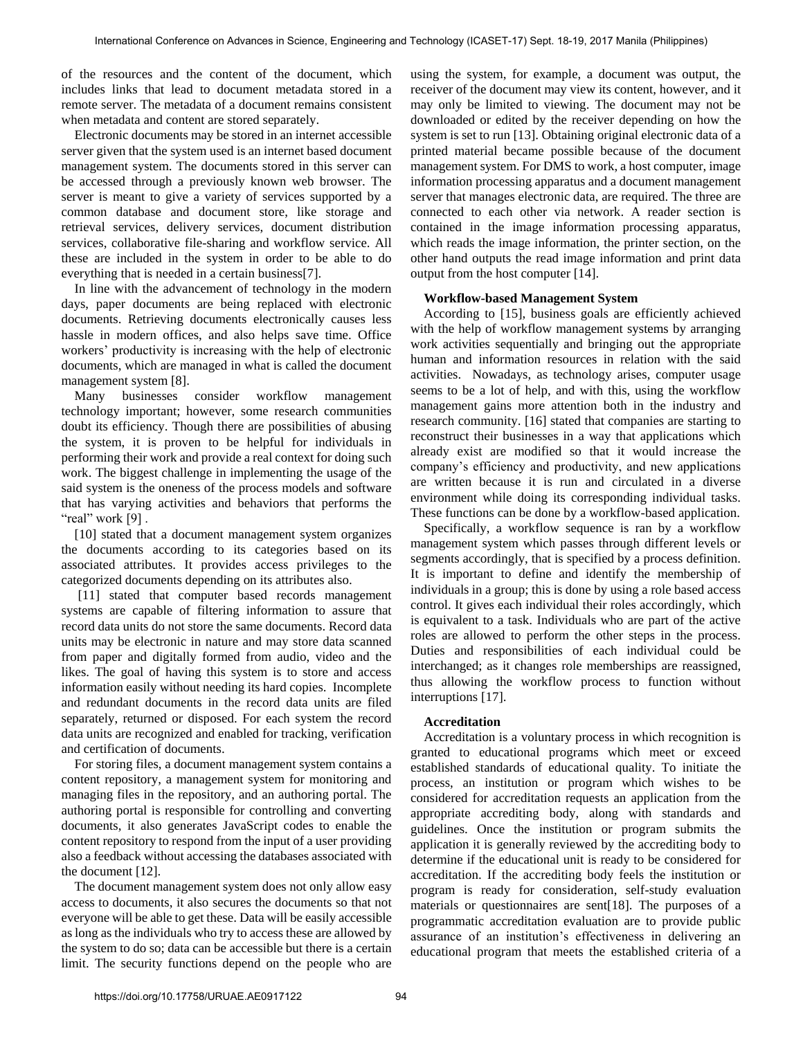of the resources and the content of the document, which includes links that lead to document metadata stored in a remote server. The metadata of a document remains consistent when metadata and content are stored separately.

Electronic documents may be stored in an internet accessible server given that the system used is an internet based document management system. The documents stored in this server can be accessed through a previously known web browser. The server is meant to give a variety of services supported by a common database and document store, like storage and retrieval services, delivery services, document distribution services, collaborative file-sharing and workflow service. All these are included in the system in order to be able to do everything that is needed in a certain business[7].

In line with the advancement of technology in the modern days, paper documents are being replaced with electronic documents. Retrieving documents electronically causes less hassle in modern offices, and also helps save time. Office workers' productivity is increasing with the help of electronic documents, which are managed in what is called the document management system [8].

Many businesses consider workflow management technology important; however, some research communities doubt its efficiency. Though there are possibilities of abusing the system, it is proven to be helpful for individuals in performing their work and provide a real context for doing such work. The biggest challenge in implementing the usage of the said system is the oneness of the process models and software that has varying activities and behaviors that performs the "real" work  $[9]$ .

[10] stated that a document management system organizes the documents according to its categories based on its associated attributes. It provides access privileges to the categorized documents depending on its attributes also.

[11] stated that computer based records management systems are capable of filtering information to assure that record data units do not store the same documents. Record data units may be electronic in nature and may store data scanned from paper and digitally formed from audio, video and the likes. The goal of having this system is to store and access information easily without needing its hard copies. Incomplete and redundant documents in the record data units are filed separately, returned or disposed. For each system the record data units are recognized and enabled for tracking, verification and certification of documents.

For storing files, a document management system contains a content repository, a management system for monitoring and managing files in the repository, and an authoring portal. The authoring portal is responsible for controlling and converting documents, it also generates JavaScript codes to enable the content repository to respond from the input of a user providing also a feedback without accessing the databases associated with the document [12].

The document management system does not only allow easy access to documents, it also secures the documents so that not everyone will be able to get these. Data will be easily accessible as long as the individuals who try to access these are allowed by the system to do so; data can be accessible but there is a certain limit. The security functions depend on the people who are

using the system, for example, a document was output, the receiver of the document may view its content, however, and it may only be limited to viewing. The document may not be downloaded or edited by the receiver depending on how the system is set to run [13]. Obtaining original electronic data of a printed material became possible because of the document management system. For DMS to work, a host computer, image information processing apparatus and a document management server that manages electronic data, are required. The three are connected to each other via network. A reader section is contained in the image information processing apparatus, which reads the image information, the printer section, on the other hand outputs the read image information and print data output from the host computer [14].

#### **Workflow-based Management System**

According to [15], business goals are efficiently achieved with the help of workflow management systems by arranging work activities sequentially and bringing out the appropriate human and information resources in relation with the said activities. Nowadays, as technology arises, computer usage seems to be a lot of help, and with this, using the workflow management gains more attention both in the industry and research community. [16] stated that companies are starting to reconstruct their businesses in a way that applications which already exist are modified so that it would increase the company's efficiency and productivity, and new applications are written because it is run and circulated in a diverse environment while doing its corresponding individual tasks. These functions can be done by a workflow-based application.

Specifically, a workflow sequence is ran by a workflow management system which passes through different levels or segments accordingly, that is specified by a process definition. It is important to define and identify the membership of individuals in a group; this is done by using a role based access control. It gives each individual their roles accordingly, which is equivalent to a task. Individuals who are part of the active roles are allowed to perform the other steps in the process. Duties and responsibilities of each individual could be interchanged; as it changes role memberships are reassigned, thus allowing the workflow process to function without interruptions [17].

#### **Accreditation**

Accreditation is a voluntary process in which recognition is granted to educational programs which meet or exceed established standards of educational quality. To initiate the process, an institution or program which wishes to be considered for accreditation requests an application from the appropriate accrediting body, along with standards and guidelines. Once the institution or program submits the application it is generally reviewed by the accrediting body to determine if the educational unit is ready to be considered for accreditation. If the accrediting body feels the institution or program is ready for consideration, self-study evaluation materials or questionnaires are sent[18]. The purposes of a programmatic accreditation evaluation are to provide public assurance of an institution's effectiveness in delivering an educational program that meets the established criteria of a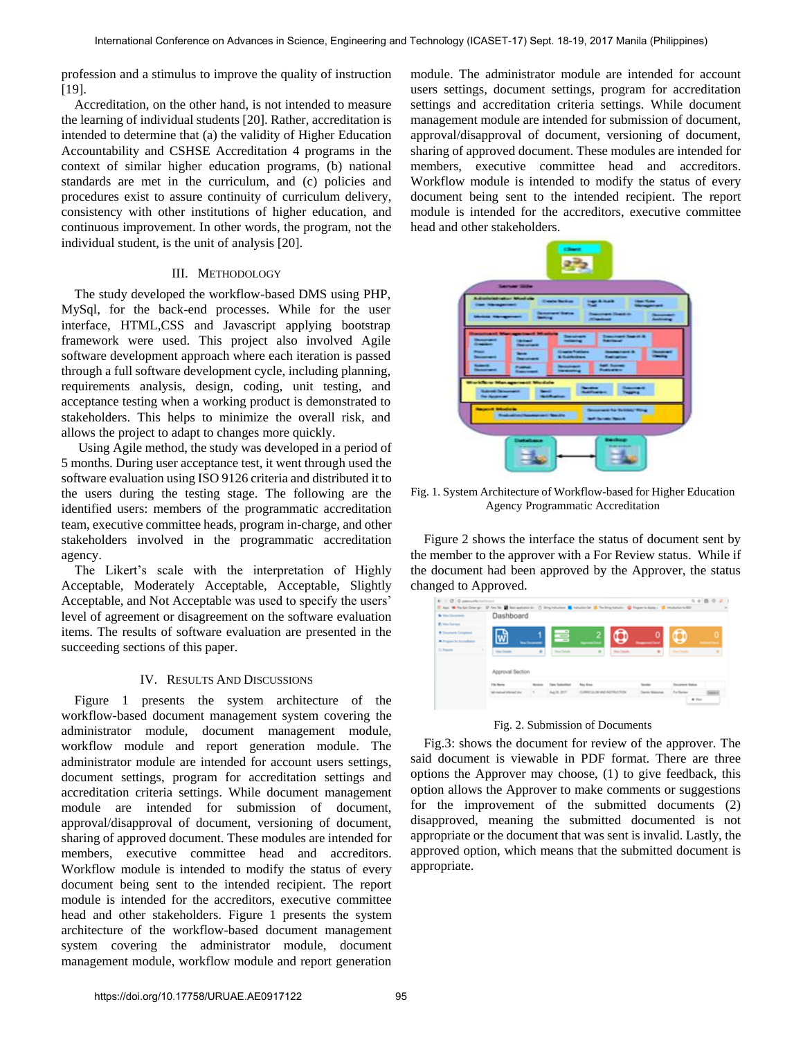profession and a stimulus to improve the quality of instruction [19].

Accreditation, on the other hand, is not intended to measure the learning of individual students [20]. Rather, accreditation is intended to determine that (a) the validity of Higher Education Accountability and CSHSE Accreditation 4 programs in the context of similar higher education programs, (b) national standards are met in the curriculum, and (c) policies and procedures exist to assure continuity of curriculum delivery, consistency with other institutions of higher education, and continuous improvement. In other words, the program, not the individual student, is the unit of analysis [20].

### III. METHODOLOGY

The study developed the workflow-based DMS using PHP, MySql, for the back-end processes. While for the user interface, HTML,CSS and Javascript applying bootstrap framework were used. This project also involved Agile software development approach where each iteration is passed through a full software development cycle, including planning, [requirements analysis,](http://en.wikipedia.org/wiki/Requirements_analysis) design, coding, [unit testing,](http://en.wikipedia.org/wiki/Unit_test) and [acceptance testing](http://en.wikipedia.org/wiki/Acceptance_test) when a working product is demonstrated to stakeholders. This helps to minimize the overall risk, and allows the project to adapt to changes more quickly.

Using Agile method, the study was developed in a period of 5 months. During user acceptance test, it went through used the software evaluation using ISO 9126 criteria and distributed it to the users during the testing stage. The following are the identified users: members of the programmatic accreditation team, executive committee heads, program in-charge, and other stakeholders involved in the programmatic accreditation agency.

The Likert's scale with the interpretation of Highly Acceptable, Moderately Acceptable, Acceptable, Slightly Acceptable, and Not Acceptable was used to specify the users' level of agreement or disagreement on the software evaluation items. The results of software evaluation are presented in the succeeding sections of this paper.

#### IV. RESULTS AND DISCUSSIONS

Figure 1 presents the system architecture of the workflow-based document management system covering the administrator module, document management module, workflow module and report generation module. The administrator module are intended for account users settings, document settings, program for accreditation settings and accreditation criteria settings. While document management module are intended for submission of document, approval/disapproval of document, versioning of document, sharing of approved document. These modules are intended for members, executive committee head and accreditors. Workflow module is intended to modify the status of every document being sent to the intended recipient. The report module is intended for the accreditors, executive committee head and other stakeholders. Figure 1 presents the system architecture of the workflow-based document management system covering the administrator module, document management module, workflow module and report generation module. The administrator module are intended for account users settings, document settings, program for accreditation settings and accreditation criteria settings. While document management module are intended for submission of document, approval/disapproval of document, versioning of document, sharing of approved document. These modules are intended for members, executive committee head and accreditors. Workflow module is intended to modify the status of every document being sent to the intended recipient. The report module is intended for the accreditors, executive committee head and other stakeholders.



Fig. 1. System Architecture of Workflow-based for Higher Education Agency Programmatic Accreditation

Figure 2 shows the interface the status of document sent by the member to the approver with a For Review status. While if the document had been approved by the Approver, the status changed to Approved.

| <b>B</b> View Decorants     | Dashboard          |                      |                    |                  |                     |                         |                       |   |
|-----------------------------|--------------------|----------------------|--------------------|------------------|---------------------|-------------------------|-----------------------|---|
| <b>P. Your Surveys</b>      |                    |                      |                    |                  |                     |                         |                       |   |
| + Doumants Completed        |                    |                      |                    |                  |                     |                         |                       | o |
| W. Fregran for Accordiation |                    | <b>Text December</b> |                    |                  |                     | <b>Designment David</b> |                       |   |
| C: Reports                  | <b>View Databa</b> | ٠                    | <b>Van Details</b> | ٠                | <b>View Details</b> | ٠                       | <b>Was Fisher</b>     |   |
|                             |                    |                      |                    |                  |                     |                         |                       |   |
|                             | Approval Section   |                      |                    |                  |                     |                         |                       |   |
|                             | <b>File Range</b>  | <b>Tension</b>       | Date Indentified   | <b>Rey Hotel</b> |                     | <b>Sender</b>           | <b>Decomed Status</b> |   |

Fig. 2. Submission of Documents

Fig.3: shows the document for review of the approver. The said document is viewable in PDF format. There are three options the Approver may choose, (1) to give feedback, this option allows the Approver to make comments or suggestions for the improvement of the submitted documents (2) disapproved, meaning the submitted documented is not appropriate or the document that was sent is invalid. Lastly, the approved option, which means that the submitted document is appropriate.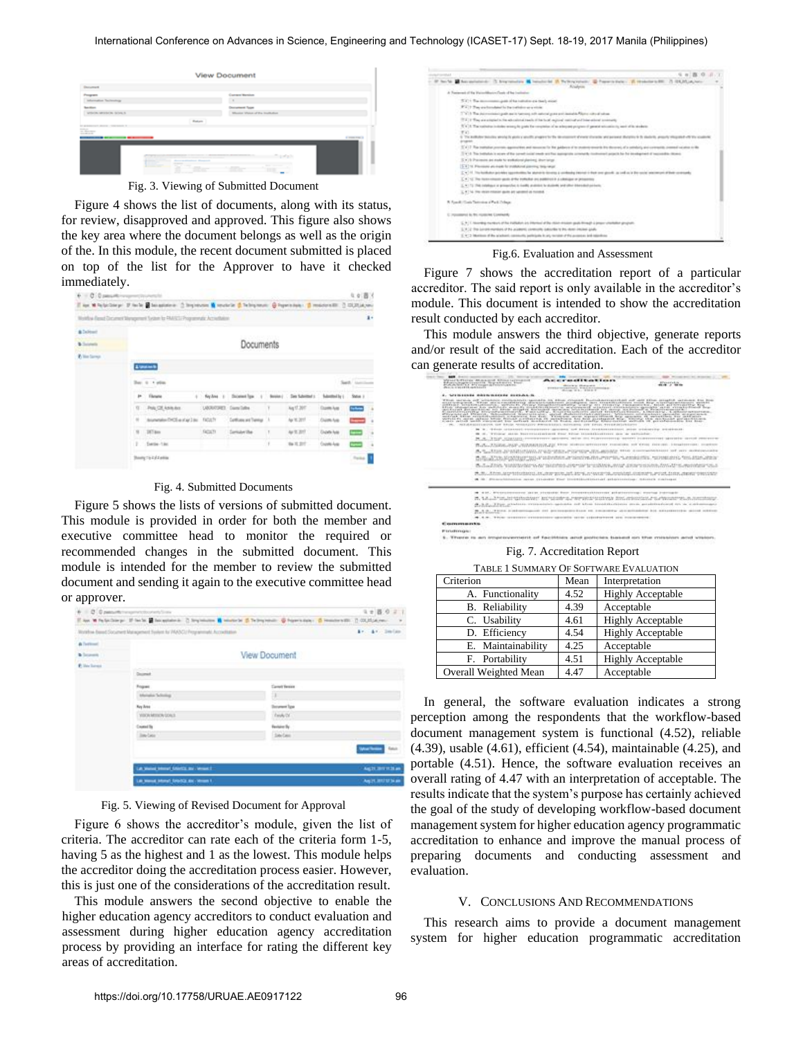| <b><i><u>Income</u></i></b>                       |                                |                  |
|---------------------------------------------------|--------------------------------|------------------|
| <b>SERVICE</b>                                    | Correct Workins                |                  |
| talian Technology                                 |                                |                  |
|                                                   | Descriptioned Type             |                  |
| entering an america carriers in                   | Weeks Weigh of the Institution |                  |
|                                                   |                                |                  |
|                                                   | Return                         |                  |
|                                                   |                                |                  |
|                                                   |                                |                  |
|                                                   |                                | <b>Construct</b> |
|                                                   |                                |                  |
|                                                   |                                |                  |
|                                                   |                                |                  |
|                                                   |                                |                  |
|                                                   |                                |                  |
| ---<br>and the company of the company of<br>----- |                                |                  |

Figure 4 shows the list of documents, along with its status, for review, disapproved and approved. This figure also shows the key area where the document belongs as well as the origin of the. In this module, the recent document submitted is placed on top of the list for the Approver to have it checked immediately.

| 6 C.Dansetti (expressional)                                                                                      |                             |         |                              |           |                   |                       | 4.4 图 3        |          |
|------------------------------------------------------------------------------------------------------------------|-----------------------------|---------|------------------------------|-----------|-------------------|-----------------------|----------------|----------|
| That M Falaconer IF for a Ministerior C September & revolvin & Technology @ Features and Considerable C COLLANGE |                             |         |                              |           |                   |                       |                |          |
| Weldba (Tank Distance Dianagement System for PAASC) Programmatic Accordibility.                                  |                             |         |                              |           |                   |                       |                | ī.       |
| & Delivery                                                                                                       |                             |         |                              |           |                   |                       |                |          |
| <b>B</b> Sunnette                                                                                                |                             |         | Documents                    |           |                   |                       |                |          |
| To line Storms                                                                                                   |                             |         |                              |           |                   |                       |                |          |
|                                                                                                                  | <b>Elizabeth</b>            |         |                              |           |                   |                       |                |          |
|                                                                                                                  | Bay, it is also             |         |                              |           |                   |                       |                |          |
|                                                                                                                  | <b>P.</b> Throne            |         | 4 Neyless 1 Document Space 1 | Service 1 | . See futurized a | blanked by L. State 1 |                |          |
|                                                                                                                  | 17 Pub Of Antuker           |         | LANCAST Camilate             | т.        | Aq 17.20T         | <b>Copie Ave</b>      | <b>State</b>   | 14       |
|                                                                                                                  | Il aumenio/POIm/Update NOCh |         | - Curtisians and Transity 1. |           | Apr 10, 2017      | Chieffully            | $\sim$         |          |
|                                                                                                                  | 10 207 pm                   | FACULTY | C Consulunt Vita             | п         | 44 % 2017         | Charle Auto           | Ē              | 79       |
|                                                                                                                  | 2. Exclu-13c                |         |                              |           | 84 8 31 -         | County-Ave.           | ł              | <b>U</b> |
|                                                                                                                  | Books Co Laborer            |         |                              |           |                   |                       | <b>Tyle II</b> |          |

Fig. 4. Submitted Documents

Figure 5 shows the lists of versions of submitted document. This module is provided in order for both the member and executive committee head to monitor the required or recommended changes in the submitted document. This module is intended for the member to review the submitted document and sending it again to the executive committee head or approver.

|                      | In world, Mond, SAMIT Telefa Barrett N.                                                                                                        |                   | <b>Anche Mill Millen</b>  |
|----------------------|------------------------------------------------------------------------------------------------------------------------------------------------|-------------------|---------------------------|
|                      | Las Weisel Stevent Editorial and Jerman 2                                                                                                      |                   | AUTO STEAM                |
|                      |                                                                                                                                                |                   | Rature                    |
|                      | <b>Jan-Salar</b>                                                                                                                               | Section           |                           |
|                      | <b>Cruised By</b>                                                                                                                              | <b>Fernise By</b> |                           |
|                      | <b>VIDON MITICAN DOULS</b>                                                                                                                     | Think OF          |                           |
|                      | <b>Key June</b>                                                                                                                                | December Type     |                           |
|                      | Mehalus Tellology                                                                                                                              |                   |                           |
|                      | Fogues                                                                                                                                         | Carroll Version   |                           |
|                      | <b>Sunday</b>                                                                                                                                  |                   |                           |
| <b>P. How Tommer</b> |                                                                                                                                                |                   |                           |
| <b>b</b> Scorentz    |                                                                                                                                                | View Document     |                           |
| A Testimont          |                                                                                                                                                |                   |                           |
|                      | Workhaw Bened Document Management System for PIASO2 Programmatic Accorditation                                                                 |                   | $k<\frac{1}{2}$ . Section |
|                      | Clay W Pa Golden pr. 27 Inche & Societation 2) Stratements & Montreal (S. Palmyrendo, C. Septemberg, C. Homeler addition 2010) (S. Septemberg) |                   |                           |
|                      | $\Phi = 0.0$ panamental experimental control into                                                                                              |                   | $1 + B 0 2$               |
|                      |                                                                                                                                                |                   |                           |

Fig. 5. Viewing of Revised Document for Approval

Figure 6 shows the accreditor's module, given the list of criteria. The accreditor can rate each of the criteria form 1-5, having 5 as the highest and 1 as the lowest. This module helps the accreditor doing the accreditation process easier. However, this is just one of the considerations of the accreditation result.

This module answers the second objective to enable the higher education agency accreditors to conduct evaluation and assessment during higher education agency accreditation process by providing an interface for rating the different key areas of accreditation.

|         | W. M. Antendential C. Anatomies M. Intelligible S. Pelloymeters, @ Papers page - S. Headquarter, C. H. H. H. Apple<br><b>Relations</b>                                                                      |
|---------|-------------------------------------------------------------------------------------------------------------------------------------------------------------------------------------------------------------|
|         | A Transmest of the Manumilitarized Daste of the Institution                                                                                                                                                 |
|         | (C) + The monomenous grain of the nation or a check worst                                                                                                                                                   |
|         | F.V. 2. They are incredibled by the trafficking as a winter.                                                                                                                                                |
|         | 17 Y.D. The determinance path and is harmond with extension and desirable Richard of subsets                                                                                                                |
|         | (7.4) it flow are entertained to the adventured translated in that bound engineer contribution of terms in contracting                                                                                      |
|         | ITY 3. The natistics initially work to goals for renaissing all as a broad program of general admissionity and of its students.                                                                             |
| WWL.    |                                                                                                                                                                                                             |
| Angelen | 2. The institutor detectors about a by abolic a struttly program to the discoverance of standard character of accessor discipline in the desired as always to this project with projects of the scrattering |
|         | [CY] 7 The trafficher process, against their and security the public is of the material models for decoration of a satisfacty and company communications on the                                             |
|         | If we do This institution in ecosy of the corrent color needs and has appropriate connected continued papels for the development of responsible district.                                                   |
|         | ICY (1) Precimines and made for mediational planting, about salest                                                                                                                                          |
|         | [5.4] 18. Pleasant art made for modulo of playing they want                                                                                                                                                 |
|         | [24] H. The holidator projekty approaching for abstracts develop a contempt interest in four one globals, as and on in the reside interesting in the contempts of their contempts.                          |
|         | $\Gamma$ a $\sim$ 10. The incorporation gain after transition are politically a colonial and primarily                                                                                                      |
|         | 2. 4 1 TU. This collection or primarized to meeting analysis to students and other international partners.                                                                                                  |
|         | $\leq$ 1 $\geq$ 5 for chain triange gain art senated at funded.                                                                                                                                             |
|         | A August Cook Terrorise of Park Primary                                                                                                                                                                     |
|         | C. POSSIBIPAT BL TRI FEARLY RE CONFINING                                                                                                                                                                    |
|         | U. A. I. Hooveledy munikers of the Pallidatul and Pitterman of the Hillsh direction speak through a project charlester group arts.                                                                          |
|         | [[ Y ] 2 The current markets of the accessors' controller behindles to the state choiced goals.                                                                                                             |
|         | (C-Y) Shellon didly atalled, carendal, additions in an except of the access and operation                                                                                                                   |

Fig.6. Evaluation and Assessment

Figure 7 shows the accreditation report of a particular accreditor. The said report is only available in the accreditor's module. This document is intended to show the accreditation result conducted by each accreditor.

This module answers the third objective, generate reports and/or result of the said accreditation. Each of the accreditor can generate results of accreditation.

| THE R. P. LEWIS CO., LANSING, MICH.<br>PERSONAL PROPERTY AND ALLES FOR MINIMUM LAST CLEANING<br>.<br><b><i>Elizabeth Asia</i></b><br>Educationshipments and Countries Inc.<br>analysische auf einger differentieren<br><b>MAIN Jr 49 KW</b><br>affect at the time." All subsequent the<br>Part of a state of the contract a<br><b>EVERAL CERRITORY, FIRE CRIMINALS &amp;</b><br>March 10 Av., 19 10 B. F.<br>A  They included a substitute through a state-shape the<br>FELD WITHIN OF WORKING COOLERATION COULD FOR BELL CYLLED PLATING TO A CHARGE THE RESIDENCE OF STREET<br>mission-point. When menterestedently discussionalisms predagent into knowledgement were may accelerate parallel<br>anti-se distribuirdo con composto di composicio della composta di controle, resentazione di secondo di terrestribuirdo<br>anticipal potentially to their entered through the service of the buildings are design to be competed to the construction of the<br>SEPTERSTEIN FORSYSTEMENT, FALLING, EXPERIENCENT APIX DESPESSES, LINESEN, CHRISPINS SESSION<br>Witnessenger Witness, Schoolsmark Scandings, annual Scandingstracturers, processor and governors appointed any portal<br>workfuck within excluded contribute schedulence from deal). Without occurs superior informal daily operation of operational way published.<br>with their table and the fine of the construction and the construction of the control of construction and the<br>PEL TREFARMENTEMPOR, COF BRIDE REMOVE PRODUCTIONS REPORTED TOY EPOXY, PERMITTENTSY<br>. This clience is a complete process of the series of the complete series of the series of the series of<br>18 IL. TYYNY ALLIN SUCCESSIONER FOX SIVE LLOSILICATION AN AUTUSTA<br><b>IN ALL THAT COMMAND PROPERTY OF</b><br>card one colour design exceedings a statement des productions except contracts<br>\$78183 \$5.001211 (\$PRESERVER) FLOORESES \$200 \$2010 \$3531 (\$351 ) \$114, \$115 \$115 \$115 \$115 \$115<br>TELESCOPES AND CRASHIBILITY<br>The State William Constant May at an England and Marchell Blue Party and Constant Constant May 2012 and the William<br>an ta car taranteed un tarraty tanadam summat a steamarchero. Anno 22 nel vegetoriano<br>A 30 Stanislands again crosser that crossbands and establishing cheese called<br>18 8 94, Bitchmodernmen (\$19) yieldship Boon Fennesserkhippener printereissap) dochologis<br>20. S.A. L.A. Free, het sig flockhood and recitable in a service of an order of the contract and a flock constraint on a contract of<br>(8) 1-2) (Free graduate everywhere specula out also touchtberkens with predictional on a stationnially<br>Ballymouthea in stress<br>AT THE AUTOMOBILE EACH FR. EMILIATELY VEHICLE/END R. LE SEAUXANTERS.<br><b>B-Bone</b> (contract)<br>0000 USES 0000 USES USES USES PROPERTY<br><b>Courses</b> and a fine<br><b><i>Elevision Color</i></b><br>art enterpresentante of hardebars and particles travage on the masses are the component<br><b>Williams and State</b> |  |                                          |
|----------------------------------------------------------------------------------------------------------------------------------------------------------------------------------------------------------------------------------------------------------------------------------------------------------------------------------------------------------------------------------------------------------------------------------------------------------------------------------------------------------------------------------------------------------------------------------------------------------------------------------------------------------------------------------------------------------------------------------------------------------------------------------------------------------------------------------------------------------------------------------------------------------------------------------------------------------------------------------------------------------------------------------------------------------------------------------------------------------------------------------------------------------------------------------------------------------------------------------------------------------------------------------------------------------------------------------------------------------------------------------------------------------------------------------------------------------------------------------------------------------------------------------------------------------------------------------------------------------------------------------------------------------------------------------------------------------------------------------------------------------------------------------------------------------------------------------------------------------------------------------------------------------------------------------------------------------------------------------------------------------------------------------------------------------------------------------------------------------------------------------------------------------------------------------------------------------------------------------------------------------------------------------------------------------------------------------------------------------------------------------------------------------------------------------------------------------------------------------------------------------------------------------------------------------------------------------------------------------------------------------------------------------------------------------------------------------------------------------------------------------------------------------------------------------------------------------------------------------------------------------------------------------------------------------------------------------------------------------------------------------------------|--|------------------------------------------|
|                                                                                                                                                                                                                                                                                                                                                                                                                                                                                                                                                                                                                                                                                                                                                                                                                                                                                                                                                                                                                                                                                                                                                                                                                                                                                                                                                                                                                                                                                                                                                                                                                                                                                                                                                                                                                                                                                                                                                                                                                                                                                                                                                                                                                                                                                                                                                                                                                                                                                                                                                                                                                                                                                                                                                                                                                                                                                                                                                                                                                      |  |                                          |
|                                                                                                                                                                                                                                                                                                                                                                                                                                                                                                                                                                                                                                                                                                                                                                                                                                                                                                                                                                                                                                                                                                                                                                                                                                                                                                                                                                                                                                                                                                                                                                                                                                                                                                                                                                                                                                                                                                                                                                                                                                                                                                                                                                                                                                                                                                                                                                                                                                                                                                                                                                                                                                                                                                                                                                                                                                                                                                                                                                                                                      |  |                                          |
|                                                                                                                                                                                                                                                                                                                                                                                                                                                                                                                                                                                                                                                                                                                                                                                                                                                                                                                                                                                                                                                                                                                                                                                                                                                                                                                                                                                                                                                                                                                                                                                                                                                                                                                                                                                                                                                                                                                                                                                                                                                                                                                                                                                                                                                                                                                                                                                                                                                                                                                                                                                                                                                                                                                                                                                                                                                                                                                                                                                                                      |  |                                          |
|                                                                                                                                                                                                                                                                                                                                                                                                                                                                                                                                                                                                                                                                                                                                                                                                                                                                                                                                                                                                                                                                                                                                                                                                                                                                                                                                                                                                                                                                                                                                                                                                                                                                                                                                                                                                                                                                                                                                                                                                                                                                                                                                                                                                                                                                                                                                                                                                                                                                                                                                                                                                                                                                                                                                                                                                                                                                                                                                                                                                                      |  | A LEED MAIN RALES AND HER HORNING LISTS. |
|                                                                                                                                                                                                                                                                                                                                                                                                                                                                                                                                                                                                                                                                                                                                                                                                                                                                                                                                                                                                                                                                                                                                                                                                                                                                                                                                                                                                                                                                                                                                                                                                                                                                                                                                                                                                                                                                                                                                                                                                                                                                                                                                                                                                                                                                                                                                                                                                                                                                                                                                                                                                                                                                                                                                                                                                                                                                                                                                                                                                                      |  |                                          |
|                                                                                                                                                                                                                                                                                                                                                                                                                                                                                                                                                                                                                                                                                                                                                                                                                                                                                                                                                                                                                                                                                                                                                                                                                                                                                                                                                                                                                                                                                                                                                                                                                                                                                                                                                                                                                                                                                                                                                                                                                                                                                                                                                                                                                                                                                                                                                                                                                                                                                                                                                                                                                                                                                                                                                                                                                                                                                                                                                                                                                      |  |                                          |
|                                                                                                                                                                                                                                                                                                                                                                                                                                                                                                                                                                                                                                                                                                                                                                                                                                                                                                                                                                                                                                                                                                                                                                                                                                                                                                                                                                                                                                                                                                                                                                                                                                                                                                                                                                                                                                                                                                                                                                                                                                                                                                                                                                                                                                                                                                                                                                                                                                                                                                                                                                                                                                                                                                                                                                                                                                                                                                                                                                                                                      |  |                                          |
|                                                                                                                                                                                                                                                                                                                                                                                                                                                                                                                                                                                                                                                                                                                                                                                                                                                                                                                                                                                                                                                                                                                                                                                                                                                                                                                                                                                                                                                                                                                                                                                                                                                                                                                                                                                                                                                                                                                                                                                                                                                                                                                                                                                                                                                                                                                                                                                                                                                                                                                                                                                                                                                                                                                                                                                                                                                                                                                                                                                                                      |  |                                          |
|                                                                                                                                                                                                                                                                                                                                                                                                                                                                                                                                                                                                                                                                                                                                                                                                                                                                                                                                                                                                                                                                                                                                                                                                                                                                                                                                                                                                                                                                                                                                                                                                                                                                                                                                                                                                                                                                                                                                                                                                                                                                                                                                                                                                                                                                                                                                                                                                                                                                                                                                                                                                                                                                                                                                                                                                                                                                                                                                                                                                                      |  |                                          |
|                                                                                                                                                                                                                                                                                                                                                                                                                                                                                                                                                                                                                                                                                                                                                                                                                                                                                                                                                                                                                                                                                                                                                                                                                                                                                                                                                                                                                                                                                                                                                                                                                                                                                                                                                                                                                                                                                                                                                                                                                                                                                                                                                                                                                                                                                                                                                                                                                                                                                                                                                                                                                                                                                                                                                                                                                                                                                                                                                                                                                      |  |                                          |
|                                                                                                                                                                                                                                                                                                                                                                                                                                                                                                                                                                                                                                                                                                                                                                                                                                                                                                                                                                                                                                                                                                                                                                                                                                                                                                                                                                                                                                                                                                                                                                                                                                                                                                                                                                                                                                                                                                                                                                                                                                                                                                                                                                                                                                                                                                                                                                                                                                                                                                                                                                                                                                                                                                                                                                                                                                                                                                                                                                                                                      |  |                                          |
|                                                                                                                                                                                                                                                                                                                                                                                                                                                                                                                                                                                                                                                                                                                                                                                                                                                                                                                                                                                                                                                                                                                                                                                                                                                                                                                                                                                                                                                                                                                                                                                                                                                                                                                                                                                                                                                                                                                                                                                                                                                                                                                                                                                                                                                                                                                                                                                                                                                                                                                                                                                                                                                                                                                                                                                                                                                                                                                                                                                                                      |  |                                          |
|                                                                                                                                                                                                                                                                                                                                                                                                                                                                                                                                                                                                                                                                                                                                                                                                                                                                                                                                                                                                                                                                                                                                                                                                                                                                                                                                                                                                                                                                                                                                                                                                                                                                                                                                                                                                                                                                                                                                                                                                                                                                                                                                                                                                                                                                                                                                                                                                                                                                                                                                                                                                                                                                                                                                                                                                                                                                                                                                                                                                                      |  |                                          |
|                                                                                                                                                                                                                                                                                                                                                                                                                                                                                                                                                                                                                                                                                                                                                                                                                                                                                                                                                                                                                                                                                                                                                                                                                                                                                                                                                                                                                                                                                                                                                                                                                                                                                                                                                                                                                                                                                                                                                                                                                                                                                                                                                                                                                                                                                                                                                                                                                                                                                                                                                                                                                                                                                                                                                                                                                                                                                                                                                                                                                      |  |                                          |
| Fig. 7. Accreditation Report                                                                                                                                                                                                                                                                                                                                                                                                                                                                                                                                                                                                                                                                                                                                                                                                                                                                                                                                                                                                                                                                                                                                                                                                                                                                                                                                                                                                                                                                                                                                                                                                                                                                                                                                                                                                                                                                                                                                                                                                                                                                                                                                                                                                                                                                                                                                                                                                                                                                                                                                                                                                                                                                                                                                                                                                                                                                                                                                                                                         |  |                                          |

TABLE 1 SUMMARY OF SOFTWARE EVALUATION

| 111000 1 001111111111 01 001 1 111110 0111001111011 |      |                          |  |  |  |
|-----------------------------------------------------|------|--------------------------|--|--|--|
| Criterion                                           | Mean | Interpretation           |  |  |  |
| A. Functionality                                    | 4.52 | <b>Highly Acceptable</b> |  |  |  |
| <b>B.</b> Reliability                               | 4.39 | Acceptable               |  |  |  |
| C. Usability                                        | 4.61 | <b>Highly Acceptable</b> |  |  |  |
| D. Efficiency                                       | 4.54 | <b>Highly Acceptable</b> |  |  |  |
| E. Maintainability                                  | 4.25 | Acceptable               |  |  |  |
| F. Portability                                      | 4.51 | <b>Highly Acceptable</b> |  |  |  |
| Overall Weighted Mean                               | 4.47 | Acceptable               |  |  |  |

In general, the software evaluation indicates a strong perception among the respondents that the workflow-based document management system is functional (4.52), reliable (4.39), usable (4.61), efficient (4.54), maintainable (4.25), and portable (4.51). Hence, the software evaluation receives an overall rating of 4.47 with an interpretation of acceptable. The results indicate that the system's purpose has certainly achieved the goal of the study of developing workflow-based document management system for higher education agency programmatic accreditation to enhance and improve the manual process of preparing documents and conducting assessment and evaluation.

#### V. CONCLUSIONS AND RECOMMENDATIONS

This research aims to provide a document management system for higher education programmatic accreditation